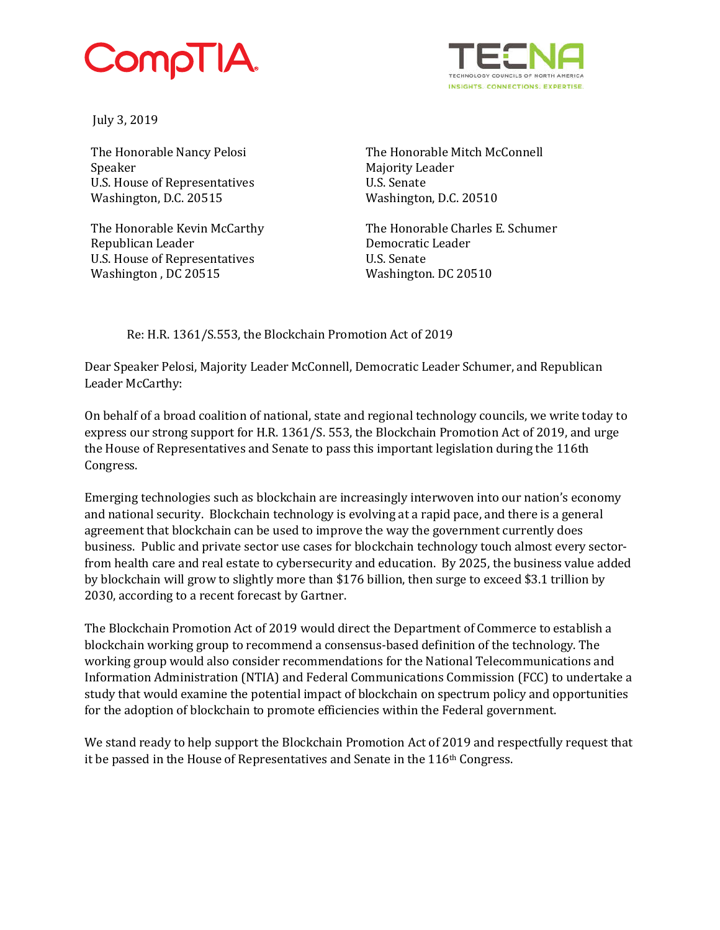## CompTIA.



July 3, 2019

The Honorable Nancy Pelosi Speaker U.S. House of Representatives Washington, D.C. 20515

The Honorable Kevin McCarthy Republican Leader U.S. House of Representatives Washington , DC 20515

The Honorable Mitch McConnell Majority Leader U.S. Senate Washington, D.C. 20510

The Honorable Charles E. Schumer Democratic Leader U.S. Senate Washington. DC 20510

Re: H.R. 1361/S.553, the Blockchain Promotion Act of 2019

Dear Speaker Pelosi, Majority Leader McConnell, Democratic Leader Schumer, and Republican Leader McCarthy:

On behalf of a broad coalition of national, state and regional technology councils, we write today to express our strong support for H.R. 1361/S. 553, the Blockchain Promotion Act of 2019, and urge the House of Representatives and Senate to pass this important legislation during the 116th Congress.

Emerging technologies such as blockchain are increasingly interwoven into our nation's economy and national security. Blockchain technology is evolving at a rapid pace, and there is a general agreement that blockchain can be used to improve the way the government currently does business. Public and private sector use cases for blockchain technology touch almost every sectorfrom health care and real estate to cybersecurity and education. By 2025, the business value added by blockchain will grow to slightly more than \$176 billion, then surge to exceed \$3.1 trillion by 2030, according to a recent forecast by Gartner.

The Blockchain Promotion Act of 2019 would direct the Department of Commerce to establish a blockchain working group to recommend a consensus-based definition of the technology. The working group would also consider recommendations for the National Telecommunications and Information Administration (NTIA) and Federal Communications Commission (FCC) to undertake a study that would examine the potential impact of blockchain on spectrum policy and opportunities for the adoption of blockchain to promote efficiencies within the Federal government.

We stand ready to help support the Blockchain Promotion Act of 2019 and respectfully request that it be passed in the House of Representatives and Senate in the 116<sup>th</sup> Congress.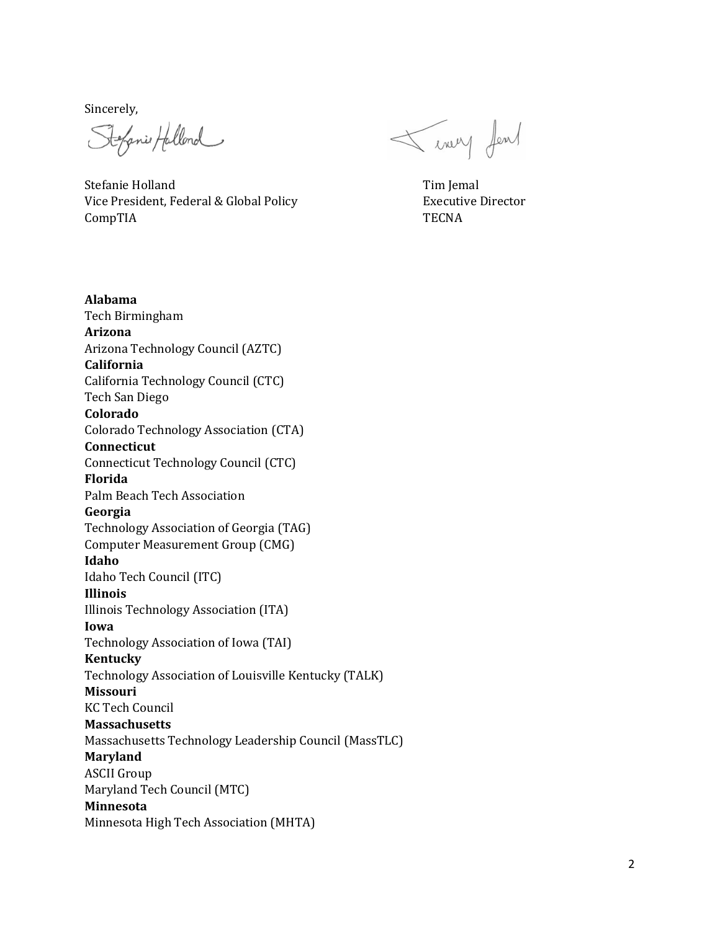Sincerely,

Stefanie Hallend

Stefanie Holland Tim Jemal Vice President, Federal & Global Policy Fig. 2014 2015 2016 Executive Director CompTIA TECNA

Tenny few

**Alabama**  Tech Birmingham **Arizona** Arizona Technology Council (AZTC) **California** California Technology Council (CTC) Tech San Diego **Colorado** Colorado Technology Association (CTA) **Connecticut** Connecticut Technology Council (CTC) **Florida** Palm Beach Tech Association **Georgia** Technology Association of Georgia (TAG) Computer Measurement Group (CMG) **Idaho** Idaho Tech Council (ITC) **Illinois** Illinois Technology Association (ITA) **Iowa** Technology Association of Iowa (TAI) **Kentucky** Technology Association of Louisville Kentucky (TALK) **Missouri** KC Tech Council **Massachusetts** Massachusetts Technology Leadership Council (MassTLC) **Maryland**  ASCII Group Maryland Tech Council (MTC) **Minnesota** Minnesota High Tech Association (MHTA)